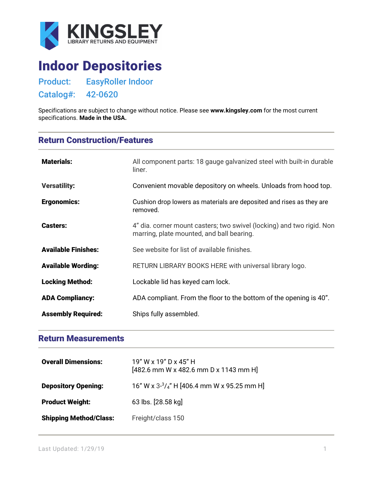

## Indoor Depositories

Product: EasyRoller Indoor

Catalog#: 42-0620

Specifications are subject to change without notice. Please see **[www.kingsley.com](http://www.kingsley.com/)** for the most current specifications. **Made in the USA.**

## Return Construction/Features

| <b>Materials:</b>          | All component parts: 18 gauge galvanized steel with built-in durable<br>liner.                                     |
|----------------------------|--------------------------------------------------------------------------------------------------------------------|
| <b>Versatility:</b>        | Convenient movable depository on wheels. Unloads from hood top.                                                    |
| <b>Ergonomics:</b>         | Cushion drop lowers as materials are deposited and rises as they are<br>removed.                                   |
| <b>Casters:</b>            | 4" dia. corner mount casters; two swivel (locking) and two rigid. Non<br>marring, plate mounted, and ball bearing. |
| <b>Available Finishes:</b> | See website for list of available finishes.                                                                        |
| <b>Available Wording:</b>  | RETURN LIBRARY BOOKS HERE with universal library logo.                                                             |
| <b>Locking Method:</b>     | Lockable lid has keyed cam lock.                                                                                   |
| <b>ADA Compliancy:</b>     | ADA compliant. From the floor to the bottom of the opening is 40".                                                 |
| <b>Assembly Required:</b>  | Ships fully assembled.                                                                                             |

## Return Measurements

| <b>Overall Dimensions:</b>    | 19" W x 19" D x 45" H<br>$[482.6$ mm W x 482.6 mm D x 1143 mm H |
|-------------------------------|-----------------------------------------------------------------|
| <b>Depository Opening:</b>    | 16" W x $3\frac{3}{4}$ " H [406.4 mm W x 95.25 mm H]            |
| <b>Product Weight:</b>        | 63 lbs. [28.58 kg]                                              |
| <b>Shipping Method/Class:</b> | Freight/class 150                                               |